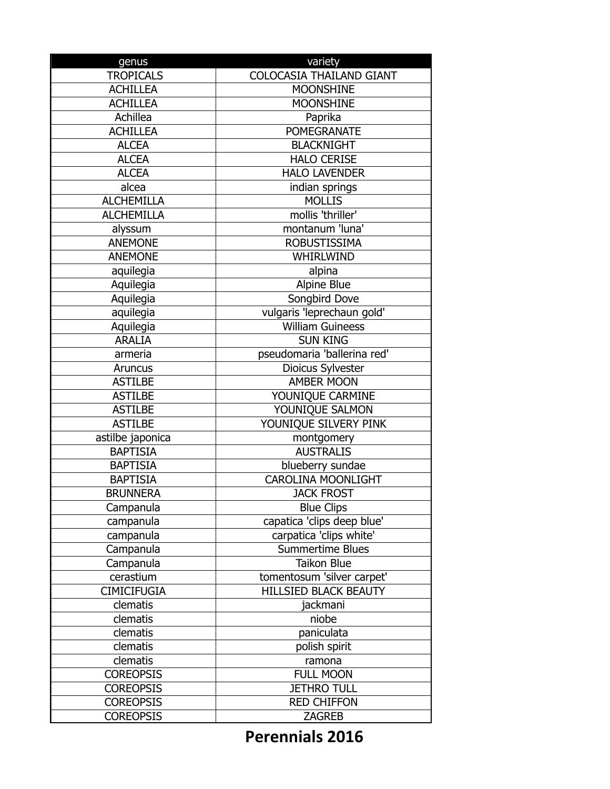| genus              | variety                         |
|--------------------|---------------------------------|
| <b>TROPICALS</b>   | <b>COLOCASIA THAILAND GIANT</b> |
| <b>ACHILLEA</b>    | <b>MOONSHINE</b>                |
| <b>ACHILLEA</b>    | <b>MOONSHINE</b>                |
| Achillea           | Paprika                         |
| <b>ACHILLEA</b>    | <b>POMEGRANATE</b>              |
| <b>ALCEA</b>       | <b>BLACKNIGHT</b>               |
| <b>ALCEA</b>       | <b>HALO CERISE</b>              |
| <b>ALCEA</b>       | <b>HALO LAVENDER</b>            |
| alcea              | indian springs                  |
| <b>ALCHEMILLA</b>  | <b>MOLLIS</b>                   |
| <b>ALCHEMILLA</b>  | mollis 'thriller'               |
| alyssum            | montanum 'luna'                 |
| <b>ANEMONE</b>     | <b>ROBUSTISSIMA</b>             |
| <b>ANEMONE</b>     | WHIRLWIND                       |
| aquilegia          | alpina                          |
| Aquilegia          | Alpine Blue                     |
| Aquilegia          | Songbird Dove                   |
| aquilegia          | vulgaris 'leprechaun gold'      |
| Aquilegia          | <b>William Guineess</b>         |
| <b>ARALIA</b>      | <b>SUN KING</b>                 |
| armeria            | pseudomaria 'ballerina red'     |
| Aruncus            | Dioicus Sylvester               |
| <b>ASTILBE</b>     | <b>AMBER MOON</b>               |
| <b>ASTILBE</b>     | YOUNIQUE CARMINE                |
| <b>ASTILBE</b>     | YOUNIQUE SALMON                 |
| <b>ASTILBE</b>     | YOUNIQUE SILVERY PINK           |
| astilbe japonica   | montgomery                      |
| <b>BAPTISIA</b>    | <b>AUSTRALIS</b>                |
| <b>BAPTISIA</b>    | blueberry sundae                |
| <b>BAPTISIA</b>    | <b>CAROLINA MOONLIGHT</b>       |
| <b>BRUNNERA</b>    | <b>JACK FROST</b>               |
| Campanula          | <b>Blue Clips</b>               |
| campanula          | capatica 'clips deep blue'      |
| campanula          | carpatica 'clips white'         |
| Campanula          | Summertime Blues                |
| Campanula          | <b>Taikon Blue</b>              |
| cerastium          | tomentosum 'silver carpet'      |
| <b>CIMICIFUGIA</b> | <b>HILLSIED BLACK BEAUTY</b>    |
| clematis           | jackmani                        |
| clematis           | niobe                           |
| clematis           | paniculata                      |
| clematis           | polish spirit                   |
| clematis           | ramona                          |
| <b>COREOPSIS</b>   | <b>FULL MOON</b>                |
| <b>COREOPSIS</b>   | <b>JETHRO TULL</b>              |
| <b>COREOPSIS</b>   | <b>RED CHIFFON</b>              |
| <b>COREOPSIS</b>   | <b>ZAGREB</b>                   |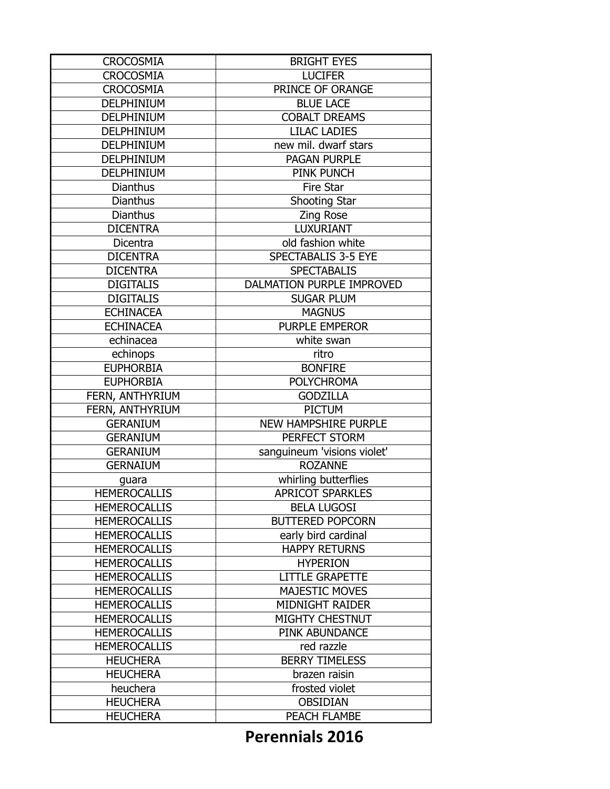| <b>CROCOSMIA</b>    | <b>BRIGHT EYES</b>          |
|---------------------|-----------------------------|
| <b>CROCOSMIA</b>    | <b>LUCIFER</b>              |
| <b>CROCOSMIA</b>    | PRINCE OF ORANGE            |
| DELPHINIUM          | <b>BLUE LACE</b>            |
| DELPHINIUM          | <b>COBALT DREAMS</b>        |
| DELPHINIUM          | <b>LILAC LADIES</b>         |
| DELPHINIUM          | new mil. dwarf stars        |
| DELPHINIUM          | <b>PAGAN PURPLE</b>         |
| <b>DELPHINIUM</b>   | PINK PUNCH                  |
| <b>Dianthus</b>     | Fire Star                   |
| <b>Dianthus</b>     | Shooting Star               |
| <b>Dianthus</b>     | <b>Zing Rose</b>            |
| <b>DICENTRA</b>     | <b>LUXURIANT</b>            |
| Dicentra            | old fashion white           |
| <b>DICENTRA</b>     | SPECTABALIS 3-5 EYE         |
| <b>DICENTRA</b>     | <b>SPECTABALIS</b>          |
| <b>DIGITALIS</b>    | DALMATION PURPLE IMPROVED   |
| <b>DIGITALIS</b>    | <b>SUGAR PLUM</b>           |
| <b>ECHINACEA</b>    | <b>MAGNUS</b>               |
| <b>ECHINACEA</b>    | <b>PURPLE EMPEROR</b>       |
| echinacea           | white swan                  |
| echinops            | ritro                       |
| <b>EUPHORBIA</b>    | <b>BONFIRE</b>              |
| <b>EUPHORBIA</b>    | <b>POLYCHROMA</b>           |
| FERN, ANTHYRIUM     | <b>GODZILLA</b>             |
| FERN, ANTHYRIUM     | <b>PICTUM</b>               |
| <b>GERANIUM</b>     | <b>NEW HAMPSHIRE PURPLE</b> |
| <b>GERANIUM</b>     | PERFECT STORM               |
| <b>GERANIUM</b>     | sanguineum 'visions violet' |
| <b>GERNAIUM</b>     | <b>ROZANNE</b>              |
| guara               | whirling butterflies        |
| <b>HEMEROCALLIS</b> | <b>APRICOT SPARKLES</b>     |
| <b>HEMEROCALLIS</b> | <b>BELA LUGOSI</b>          |
| <b>HEMEROCALLIS</b> | <b>BUTTERED POPCORN</b>     |
| <b>HEMEROCALLIS</b> | early bird cardinal         |
| <b>HEMEROCALLIS</b> | <b>HAPPY RETURNS</b>        |
| <b>HEMEROCALLIS</b> | <b>HYPERION</b>             |
| <b>HEMEROCALLIS</b> | <b>LITTLE GRAPETTE</b>      |
| <b>HEMEROCALLIS</b> | <b>MAJESTIC MOVES</b>       |
| <b>HEMEROCALLIS</b> | <b>MIDNIGHT RAIDER</b>      |
| <b>HEMEROCALLIS</b> | <b>MIGHTY CHESTNUT</b>      |
| <b>HEMEROCALLIS</b> | PINK ABUNDANCE              |
| <b>HEMEROCALLIS</b> | red razzle                  |
| <b>HEUCHERA</b>     | <b>BERRY TIMELESS</b>       |
| <b>HEUCHERA</b>     | brazen raisin               |
| heuchera            | frosted violet              |
| <b>HEUCHERA</b>     | <b>OBSIDIAN</b>             |
| <b>HEUCHERA</b>     | PEACH FLAMBE                |
|                     |                             |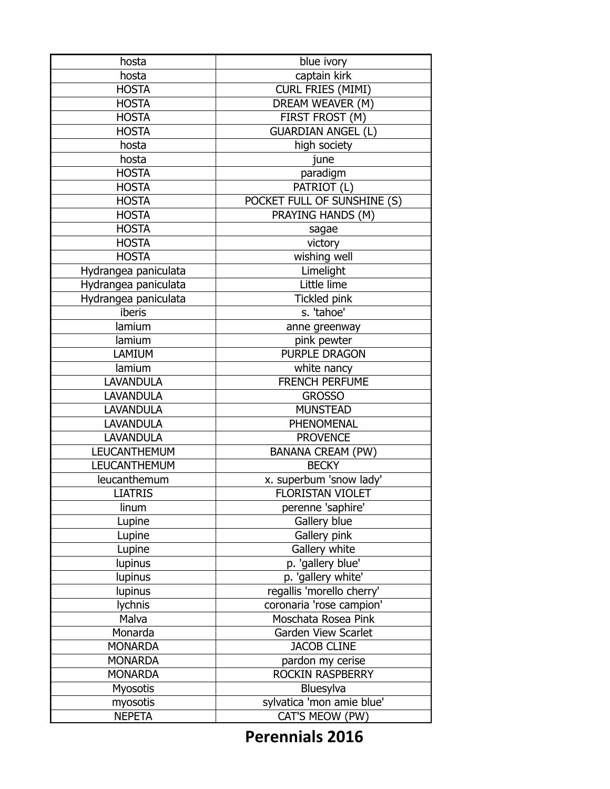| captain kirk<br>hosta<br><b>CURL FRIES (MIMI)</b><br><b>HOSTA</b><br>DREAM WEAVER (M)<br><b>HOSTA</b><br>FIRST FROST (M)<br><b>HOSTA</b><br><b>GUARDIAN ANGEL (L)</b><br><b>HOSTA</b><br>high society<br>hosta<br>hosta<br>june<br>paradigm<br><b>HOSTA</b><br>PATRIOT (L)<br><b>HOSTA</b><br>POCKET FULL OF SUNSHINE (S)<br><b>HOSTA</b><br>PRAYING HANDS (M)<br><b>HOSTA</b><br><b>HOSTA</b><br>sagae<br><b>HOSTA</b><br>victory<br><b>HOSTA</b><br>wishing well<br>Limelight<br>Hydrangea paniculata<br>Little lime<br>Hydrangea paniculata<br>Hydrangea paniculata<br><b>Tickled pink</b><br>iberis<br>s. 'tahoe'<br>lamium<br>anne greenway<br>pink pewter<br>lamium<br>PURPLE DRAGON<br>LAMIUM |
|------------------------------------------------------------------------------------------------------------------------------------------------------------------------------------------------------------------------------------------------------------------------------------------------------------------------------------------------------------------------------------------------------------------------------------------------------------------------------------------------------------------------------------------------------------------------------------------------------------------------------------------------------------------------------------------------------|
|                                                                                                                                                                                                                                                                                                                                                                                                                                                                                                                                                                                                                                                                                                      |
|                                                                                                                                                                                                                                                                                                                                                                                                                                                                                                                                                                                                                                                                                                      |
|                                                                                                                                                                                                                                                                                                                                                                                                                                                                                                                                                                                                                                                                                                      |
|                                                                                                                                                                                                                                                                                                                                                                                                                                                                                                                                                                                                                                                                                                      |
|                                                                                                                                                                                                                                                                                                                                                                                                                                                                                                                                                                                                                                                                                                      |
|                                                                                                                                                                                                                                                                                                                                                                                                                                                                                                                                                                                                                                                                                                      |
|                                                                                                                                                                                                                                                                                                                                                                                                                                                                                                                                                                                                                                                                                                      |
|                                                                                                                                                                                                                                                                                                                                                                                                                                                                                                                                                                                                                                                                                                      |
|                                                                                                                                                                                                                                                                                                                                                                                                                                                                                                                                                                                                                                                                                                      |
|                                                                                                                                                                                                                                                                                                                                                                                                                                                                                                                                                                                                                                                                                                      |
|                                                                                                                                                                                                                                                                                                                                                                                                                                                                                                                                                                                                                                                                                                      |
|                                                                                                                                                                                                                                                                                                                                                                                                                                                                                                                                                                                                                                                                                                      |
|                                                                                                                                                                                                                                                                                                                                                                                                                                                                                                                                                                                                                                                                                                      |
|                                                                                                                                                                                                                                                                                                                                                                                                                                                                                                                                                                                                                                                                                                      |
|                                                                                                                                                                                                                                                                                                                                                                                                                                                                                                                                                                                                                                                                                                      |
|                                                                                                                                                                                                                                                                                                                                                                                                                                                                                                                                                                                                                                                                                                      |
|                                                                                                                                                                                                                                                                                                                                                                                                                                                                                                                                                                                                                                                                                                      |
|                                                                                                                                                                                                                                                                                                                                                                                                                                                                                                                                                                                                                                                                                                      |
|                                                                                                                                                                                                                                                                                                                                                                                                                                                                                                                                                                                                                                                                                                      |
|                                                                                                                                                                                                                                                                                                                                                                                                                                                                                                                                                                                                                                                                                                      |
|                                                                                                                                                                                                                                                                                                                                                                                                                                                                                                                                                                                                                                                                                                      |
| lamium<br>white nancy                                                                                                                                                                                                                                                                                                                                                                                                                                                                                                                                                                                                                                                                                |
| <b>FRENCH PERFUME</b><br><b>LAVANDULA</b>                                                                                                                                                                                                                                                                                                                                                                                                                                                                                                                                                                                                                                                            |
| <b>LAVANDULA</b><br><b>GROSSO</b>                                                                                                                                                                                                                                                                                                                                                                                                                                                                                                                                                                                                                                                                    |
| <b>MUNSTEAD</b><br><b>LAVANDULA</b>                                                                                                                                                                                                                                                                                                                                                                                                                                                                                                                                                                                                                                                                  |
| <b>LAVANDULA</b><br>PHENOMENAL                                                                                                                                                                                                                                                                                                                                                                                                                                                                                                                                                                                                                                                                       |
| <b>LAVANDULA</b><br><b>PROVENCE</b>                                                                                                                                                                                                                                                                                                                                                                                                                                                                                                                                                                                                                                                                  |
| <b>LEUCANTHEMUM</b><br><b>BANANA CREAM (PW)</b>                                                                                                                                                                                                                                                                                                                                                                                                                                                                                                                                                                                                                                                      |
| <b>LEUCANTHEMUM</b><br><b>BECKY</b>                                                                                                                                                                                                                                                                                                                                                                                                                                                                                                                                                                                                                                                                  |
| x. superbum 'snow lady'<br>leucanthemum                                                                                                                                                                                                                                                                                                                                                                                                                                                                                                                                                                                                                                                              |
| <b>FLORISTAN VIOLET</b><br><b>LIATRIS</b>                                                                                                                                                                                                                                                                                                                                                                                                                                                                                                                                                                                                                                                            |
| perenne 'saphire'<br>linum                                                                                                                                                                                                                                                                                                                                                                                                                                                                                                                                                                                                                                                                           |
| Gallery blue<br>Lupine                                                                                                                                                                                                                                                                                                                                                                                                                                                                                                                                                                                                                                                                               |
| Gallery pink<br>Lupine                                                                                                                                                                                                                                                                                                                                                                                                                                                                                                                                                                                                                                                                               |
| Gallery white<br>Lupine                                                                                                                                                                                                                                                                                                                                                                                                                                                                                                                                                                                                                                                                              |
| p. 'gallery blue'<br>lupinus                                                                                                                                                                                                                                                                                                                                                                                                                                                                                                                                                                                                                                                                         |
| p. 'gallery white'<br>lupinus                                                                                                                                                                                                                                                                                                                                                                                                                                                                                                                                                                                                                                                                        |
| regallis 'morello cherry'<br>lupinus                                                                                                                                                                                                                                                                                                                                                                                                                                                                                                                                                                                                                                                                 |
| lychnis<br>coronaria 'rose campion'                                                                                                                                                                                                                                                                                                                                                                                                                                                                                                                                                                                                                                                                  |
| Malva<br>Moschata Rosea Pink                                                                                                                                                                                                                                                                                                                                                                                                                                                                                                                                                                                                                                                                         |
| Monarda<br>Garden View Scarlet                                                                                                                                                                                                                                                                                                                                                                                                                                                                                                                                                                                                                                                                       |
| <b>MONARDA</b><br><b>JACOB CLINE</b>                                                                                                                                                                                                                                                                                                                                                                                                                                                                                                                                                                                                                                                                 |
| <b>MONARDA</b><br>pardon my cerise                                                                                                                                                                                                                                                                                                                                                                                                                                                                                                                                                                                                                                                                   |
| ROCKIN RASPBERRY<br><b>MONARDA</b>                                                                                                                                                                                                                                                                                                                                                                                                                                                                                                                                                                                                                                                                   |
| <b>Myosotis</b><br>Bluesylva                                                                                                                                                                                                                                                                                                                                                                                                                                                                                                                                                                                                                                                                         |
| sylvatica 'mon amie blue'<br>myosotis                                                                                                                                                                                                                                                                                                                                                                                                                                                                                                                                                                                                                                                                |
| CAT'S MEOW (PW)<br><b>NEPETA</b>                                                                                                                                                                                                                                                                                                                                                                                                                                                                                                                                                                                                                                                                     |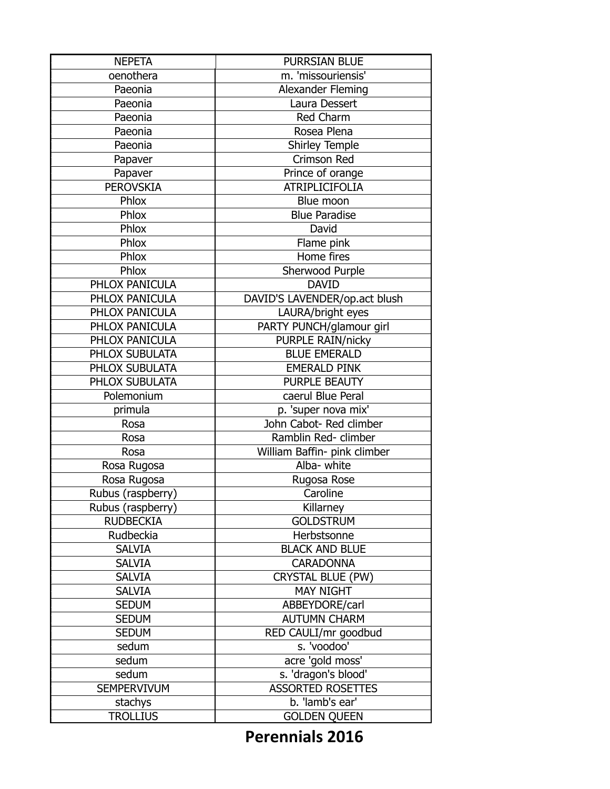| <b>NEPETA</b>     | <b>PURRSIAN BLUE</b>          |
|-------------------|-------------------------------|
| oenothera         | m. 'missouriensis'            |
| Paeonia           | Alexander Fleming             |
| Paeonia           | Laura Dessert                 |
| Paeonia           | Red Charm                     |
| Paeonia           | Rosea Plena                   |
| Paeonia           | Shirley Temple                |
| Papaver           | <b>Crimson Red</b>            |
| Papaver           | Prince of orange              |
| <b>PEROVSKIA</b>  | <b>ATRIPLICIFOLIA</b>         |
| Phlox             | Blue moon                     |
| Phlox             | <b>Blue Paradise</b>          |
| Phlox             | David                         |
| Phlox             | Flame pink                    |
| Phlox             | Home fires                    |
| Phlox             | Sherwood Purple               |
| PHLOX PANICULA    | <b>DAVID</b>                  |
| PHLOX PANICULA    | DAVID'S LAVENDER/op.act blush |
| PHLOX PANICULA    | LAURA/bright eyes             |
| PHLOX PANICULA    | PARTY PUNCH/glamour girl      |
| PHLOX PANICULA    | <b>PURPLE RAIN/nicky</b>      |
| PHLOX SUBULATA    | <b>BLUE EMERALD</b>           |
| PHLOX SUBULATA    | <b>EMERALD PINK</b>           |
| PHLOX SUBULATA    | <b>PURPLE BEAUTY</b>          |
| Polemonium        | caerul Blue Peral             |
| primula           | p. 'super nova mix'           |
| Rosa              | John Cabot- Red climber       |
| Rosa              | Ramblin Red- climber          |
| Rosa              | William Baffin- pink climber  |
| Rosa Rugosa       | Alba- white                   |
| Rosa Rugosa       | Rugosa Rose                   |
| Rubus (raspberry) | Caroline                      |
| Rubus (raspberry) | Killarney                     |
| <b>RUDBECKIA</b>  | <b>GOLDSTRUM</b>              |
| Rudbeckia         | Herbstsonne                   |
| <b>SALVIA</b>     | <b>BLACK AND BLUE</b>         |
| <b>SALVIA</b>     | <b>CARADONNA</b>              |
| <b>SALVIA</b>     | <b>CRYSTAL BLUE (PW)</b>      |
| <b>SALVIA</b>     | <b>MAY NIGHT</b>              |
| <b>SEDUM</b>      | ABBEYDORE/carl                |
| <b>SEDUM</b>      | <b>AUTUMN CHARM</b>           |
| <b>SEDUM</b>      | RED CAULI/mr goodbud          |
| sedum             | s. 'voodoo'                   |
| sedum             | acre 'gold moss'              |
| sedum             | s. 'dragon's blood'           |
| SEMPERVIVUM       | <b>ASSORTED ROSETTES</b>      |
| stachys           | b. 'lamb's ear'               |
| <b>TROLLIUS</b>   | <b>GOLDEN QUEEN</b>           |
|                   |                               |